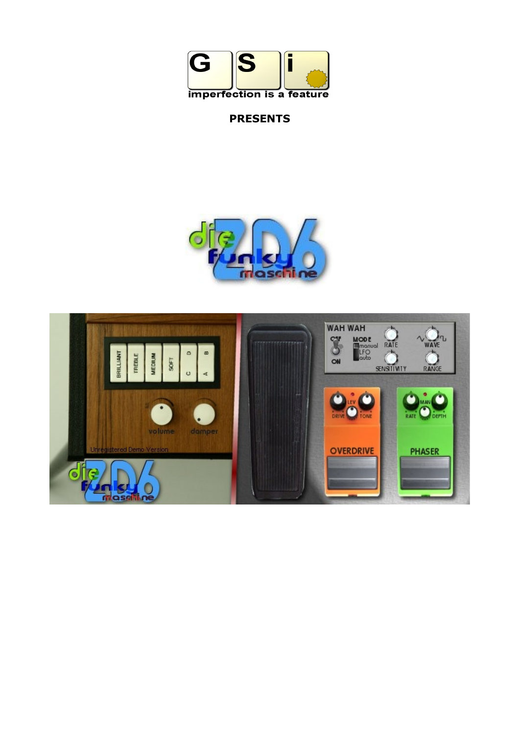

# **PRESENTS**



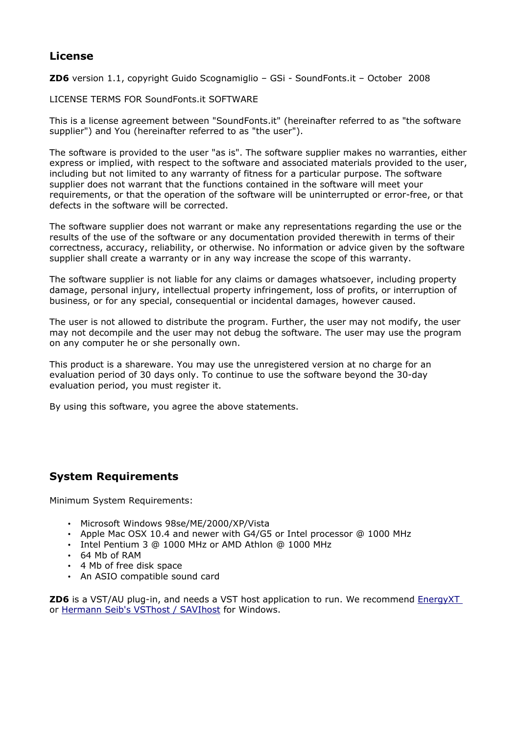### **License**

**ZD6** version 1.1, copyright Guido Scognamiglio – GSi - SoundFonts.it – October 2008

LICENSE TERMS FOR SoundFonts.it SOFTWARE

This is a license agreement between "SoundFonts.it" (hereinafter referred to as "the software supplier") and You (hereinafter referred to as "the user").

The software is provided to the user "as is". The software supplier makes no warranties, either express or implied, with respect to the software and associated materials provided to the user, including but not limited to any warranty of fitness for a particular purpose. The software supplier does not warrant that the functions contained in the software will meet your requirements, or that the operation of the software will be uninterrupted or error-free, or that defects in the software will be corrected.

The software supplier does not warrant or make any representations regarding the use or the results of the use of the software or any documentation provided therewith in terms of their correctness, accuracy, reliability, or otherwise. No information or advice given by the software supplier shall create a warranty or in any way increase the scope of this warranty.

The software supplier is not liable for any claims or damages whatsoever, including property damage, personal injury, intellectual property infringement, loss of profits, or interruption of business, or for any special, consequential or incidental damages, however caused.

The user is not allowed to distribute the program. Further, the user may not modify, the user may not decompile and the user may not debug the software. The user may use the program on any computer he or she personally own.

This product is a shareware. You may use the unregistered version at no charge for an evaluation period of 30 days only. To continue to use the software beyond the 30-day evaluation period, you must register it.

By using this software, you agree the above statements.

## **System Requirements**

Minimum System Requirements:

- Microsoft Windows 98se/ME/2000/XP/Vista
- Apple Mac OSX 10.4 and newer with G4/G5 or Intel processor @ 1000 MHz
- Intel Pentium 3 @ 1000 MHz or AMD Athlon @ 1000 MHz
- 64 Mb of RAM
- 4 Mb of free disk space
- An ASIO compatible sound card

**ZD6** is a VST/AU plug-in, and needs a VST host application to run. We recommend [EnergyXT](http://www.energy-xt.com/) or [Hermann Seib's VSThost / SAVIhost](http://www.hermannseib.com/english/vsthost.htm) for Windows.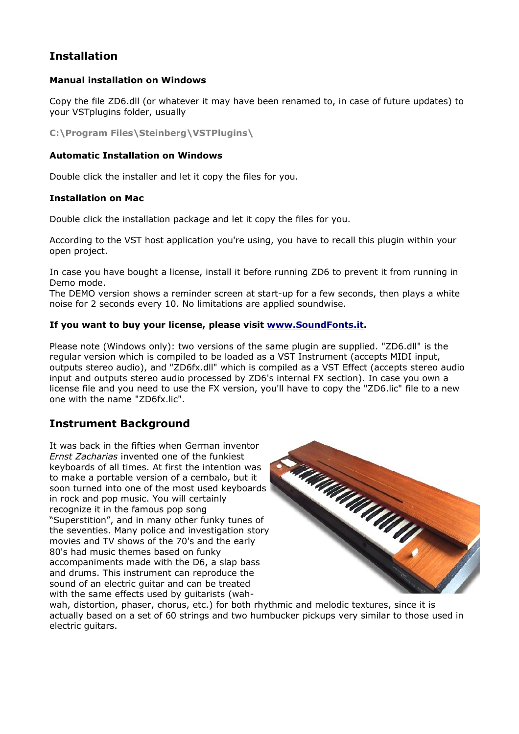## **Installation**

### **Manual installation on Windows**

Copy the file ZD6.dll (or whatever it may have been renamed to, in case of future updates) to your VSTplugins folder, usually

**C:\Program Files\Steinberg\VSTPlugins\**

#### **Automatic Installation on Windows**

Double click the installer and let it copy the files for you.

#### **Installation on Mac**

Double click the installation package and let it copy the files for you.

According to the VST host application you're using, you have to recall this plugin within your open project.

In case you have bought a license, install it before running ZD6 to prevent it from running in Demo mode.

The DEMO version shows a reminder screen at start-up for a few seconds, then plays a white noise for 2 seconds every 10. No limitations are applied soundwise.

#### **If you want to buy your license, please visit [www.SoundFonts.it.](http://www.soundfonts.it/)**

Please note (Windows only): two versions of the same plugin are supplied. "ZD6.dll" is the regular version which is compiled to be loaded as a VST Instrument (accepts MIDI input, outputs stereo audio), and "ZD6fx.dll" which is compiled as a VST Effect (accepts stereo audio input and outputs stereo audio processed by ZD6's internal FX section). In case you own a license file and you need to use the FX version, you'll have to copy the "ZD6.lic" file to a new one with the name "ZD6fx.lic".

### **Instrument Background**

It was back in the fifties when German inventor *Ernst Zacharias* invented one of the funkiest keyboards of all times. At first the intention was to make a portable version of a cembalo, but it soon turned into one of the most used keyboards in rock and pop music. You will certainly recognize it in the famous pop song "Superstition", and in many other funky tunes of the seventies. Many police and investigation story movies and TV shows of the 70's and the early 80's had music themes based on funky accompaniments made with the D6, a slap bass and drums. This instrument can reproduce the sound of an electric guitar and can be treated with the same effects used by guitarists (wah-



wah, distortion, phaser, chorus, etc.) for both rhythmic and melodic textures, since it is actually based on a set of 60 strings and two humbucker pickups very similar to those used in electric guitars.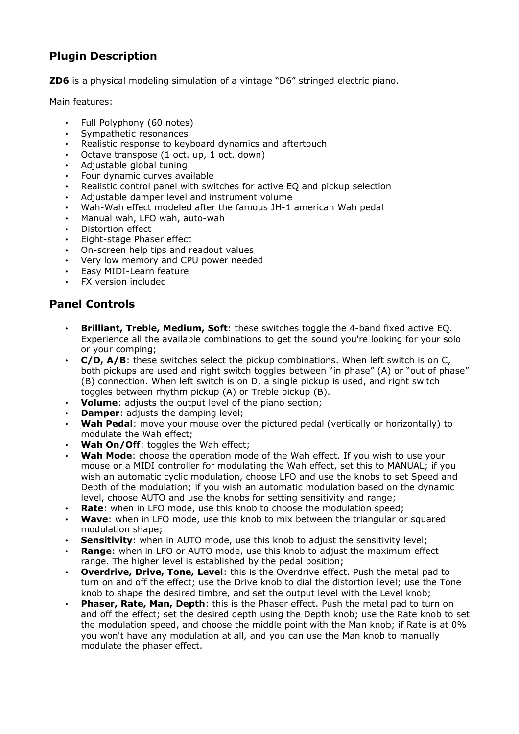## **Plugin Description**

**ZD6** is a physical modeling simulation of a vintage "D6" stringed electric piano.

Main features:

- Full Polyphony (60 notes)<br>• Symnathetic resonances
- Sympathetic resonances
- Realistic response to keyboard dynamics and aftertouch
- Octave transpose (1 oct. up, 1 oct. down)
- Adjustable global tuning
- Four dynamic curves available
- Realistic control panel with switches for active EQ and pickup selection
- Adjustable damper level and instrument volume
- Wah-Wah effect modeled after the famous JH-1 american Wah pedal
- Manual wah, LFO wah, auto-wah
- Distortion effect
- Eight-stage Phaser effect
- On-screen help tips and readout values
- Very low memory and CPU power needed
- Easy MIDI-Learn feature
- **FX** version included

## **Panel Controls**

- **Brilliant, Treble, Medium, Soft**: these switches toggle the 4-band fixed active EQ. Experience all the available combinations to get the sound you're looking for your solo or your comping;
- **C/D, A/B**: these switches select the pickup combinations. When left switch is on C, both pickups are used and right switch toggles between "in phase" (A) or "out of phase" (B) connection. When left switch is on D, a single pickup is used, and right switch toggles between rhythm pickup (A) or Treble pickup (B).
- **Volume**: adjusts the output level of the piano section;
- **Damper:** adjusts the damping level;
- Wah Pedal: move your mouse over the pictured pedal (vertically or horizontally) to modulate the Wah effect;
- Wah On/Off: toggles the Wah effect:
- **Wah Mode**: choose the operation mode of the Wah effect. If you wish to use your mouse or a MIDI controller for modulating the Wah effect, set this to MANUAL; if you wish an automatic cyclic modulation, choose LFO and use the knobs to set Speed and Depth of the modulation; if you wish an automatic modulation based on the dynamic level, choose AUTO and use the knobs for setting sensitivity and range;
- **Rate**: when in LFO mode, use this knob to choose the modulation speed;
- **Wave**: when in LFO mode, use this knob to mix between the triangular or squared modulation shape;
- **Sensitivity:** when in AUTO mode, use this knob to adjust the sensitivity level;
- **Range**: when in LFO or AUTO mode, use this knob to adjust the maximum effect range. The higher level is established by the pedal position;
- **Overdrive, Drive, Tone, Level**: this is the Overdrive effect. Push the metal pad to turn on and off the effect; use the Drive knob to dial the distortion level; use the Tone knob to shape the desired timbre, and set the output level with the Level knob;
- **Phaser, Rate, Man, Depth**: this is the Phaser effect. Push the metal pad to turn on and off the effect; set the desired depth using the Depth knob; use the Rate knob to set the modulation speed, and choose the middle point with the Man knob; if Rate is at 0% you won't have any modulation at all, and you can use the Man knob to manually modulate the phaser effect.